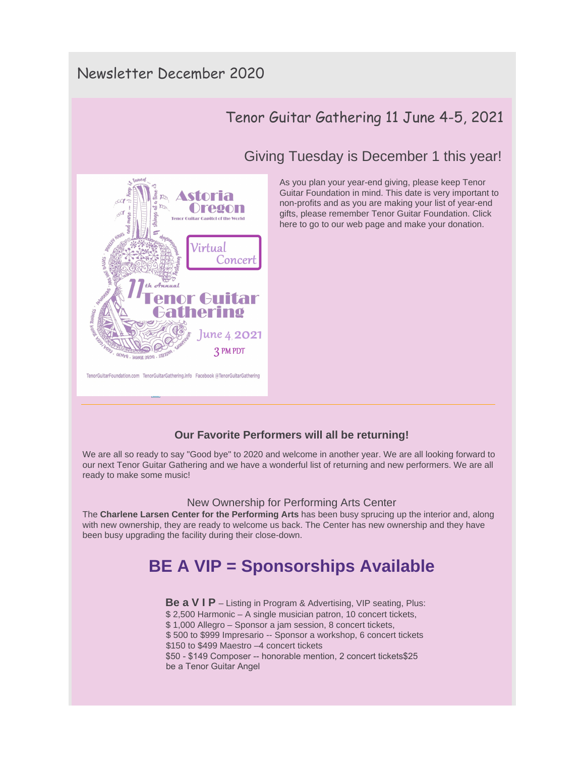## Newsletter December 2020

## Tenor Guitar Gathering 11 June 4-5, 2021

### Giving Tuesday is December 1 this year!



TenorGuitarFoundation.com TenorGuitarGathering.info Facebook @TenorGuitarGathering

As you plan your year-end giving, please keep Tenor Guitar Foundation in mind. This date is very important to non-profits and as you are making your list of year-end gifts, please remember Tenor Guitar Foundation. Click here to go to our web page and make your donation.

# **Our Favorite Performers will all be returning!**

[We are all so ready to say "Good bye"](http://r20.rs6.net/tn.jsp?f=0011ecZFXTP56kWY2VhXIQJ8yZU3QZouxwQp5xGo-Ol6cLhxsOp9Rhv8ENS4q90S5eGK153rC35KXKCXwROT31CEgI1xEwT12L74awrGnLqBSgAdH2Q4Xe-Oxqy-RY4g7CAYpvXP1CMDbO2CWAT97ULfa37jk2auYs6YSuRP7cCgQVsVzEs_nXvgg==&c=gYT7l8JlcDnWIUxGBGs1bc0DQKOcjZZviQgUFnCCxH7RClCYPbd9ug==&ch=z3IPOq2EndecE9sTDv3xGTk_l6EnMWl0bMhkJ5vybD62XNPEulWs5w==) to 2020 and welcome in another year. We are all looking forward to our next Tenor Guitar Gathering and we have a wonderful list of returning and new performers. We are all ready to make some music!

#### New Ownership for Performing Arts Center

The **Charlene Larsen Center for the Performing Arts** has been busy sprucing up the interior and, along with new ownership, they are ready to welcome us back. The Center has new ownership and they have been busy upgrading the facility during their close-down.

## **BE A VIP = Sponsorships Available**

**Be a V I P** – Listing in Program & Advertising, VIP seating, Plus: \$ 2,500 Harmonic – A single musician patron, 10 concert tickets, \$ 1,000 Allegro – Sponsor a jam session, 8 concert tickets, \$ 500 to \$999 Impresario -- Sponsor a workshop, 6 concert tickets \$150 to \$499 Maestro –4 concert tickets \$50 - \$149 Composer -- honorable mention, 2 concert tickets\$25 be a Tenor Guitar Angel